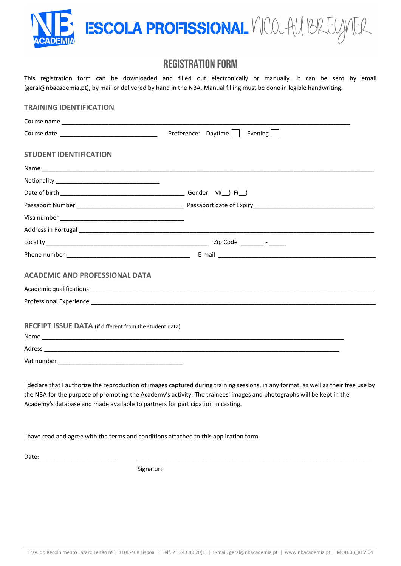

# REGISTRATION FORM

This registration form can be downloaded and filled out electronically or manually. It can be sent by email (geral@nbacademia.pt), by mail or delivered by hand in the NBA. Manual filling must be done in legible handwriting.

| <b>TRAINING IDENTIFICATION</b>                          |                                                                                                                                                                                                                                |
|---------------------------------------------------------|--------------------------------------------------------------------------------------------------------------------------------------------------------------------------------------------------------------------------------|
|                                                         |                                                                                                                                                                                                                                |
|                                                         | Preference: Daytime     Evening                                                                                                                                                                                                |
| <b>STUDENT IDENTIFICATION</b>                           |                                                                                                                                                                                                                                |
|                                                         |                                                                                                                                                                                                                                |
|                                                         |                                                                                                                                                                                                                                |
|                                                         |                                                                                                                                                                                                                                |
|                                                         |                                                                                                                                                                                                                                |
|                                                         |                                                                                                                                                                                                                                |
|                                                         | Address in Portugal entertainment and the contract of the contract of the contract of the contract of the contract of the contract of the contract of the contract of the contract of the contract of the contract of the cont |
|                                                         |                                                                                                                                                                                                                                |
|                                                         |                                                                                                                                                                                                                                |
| <b>ACADEMIC AND PROFESSIONAL DATA</b>                   |                                                                                                                                                                                                                                |
|                                                         |                                                                                                                                                                                                                                |
|                                                         |                                                                                                                                                                                                                                |
| RECEIPT ISSUE DATA (if different from the student data) |                                                                                                                                                                                                                                |
|                                                         |                                                                                                                                                                                                                                |
|                                                         |                                                                                                                                                                                                                                |
|                                                         |                                                                                                                                                                                                                                |
|                                                         |                                                                                                                                                                                                                                |

I declare that I authorize the reproduction of images captured during training sessions, in any format, as well as their free use by the NBA for the purpose of promoting the Academy's activity. The trainees' images and photographs will be kept in the Academy's database and made available to partners for participation in casting.

I have read and agree with the terms and conditions attached to this application form.

Date:\_\_\_\_\_\_\_\_\_\_\_\_\_\_\_\_\_\_\_\_\_\_\_ \_\_\_\_\_\_\_\_\_\_\_\_\_\_\_\_\_\_\_\_\_\_\_\_\_\_\_\_\_\_\_\_\_\_\_\_\_\_\_\_\_\_\_\_\_\_\_\_\_\_\_\_\_\_\_\_\_\_\_\_\_\_\_\_\_\_\_\_\_

Signature